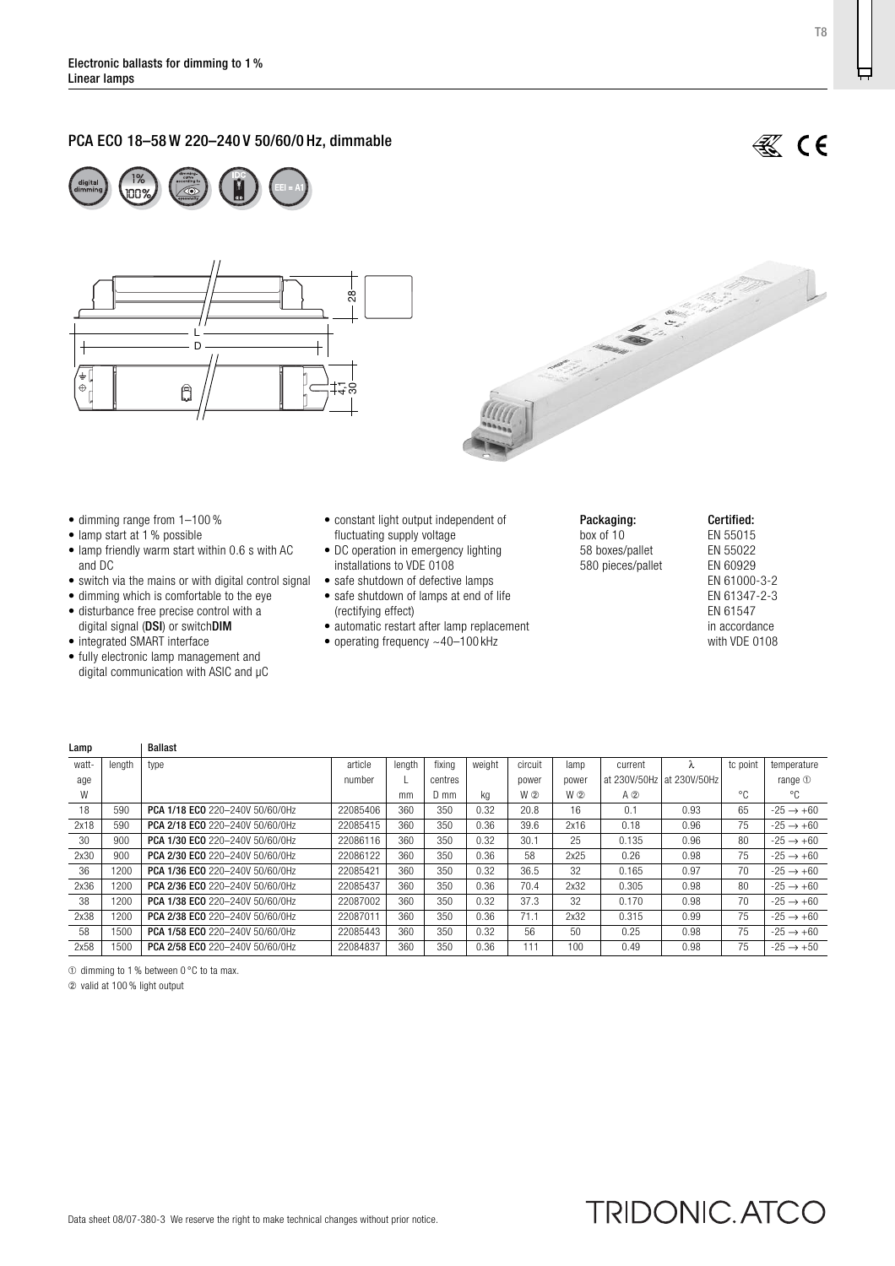# PCA ECO 18–58 W 220–240 V 50/60/0 Hz, dimmable







- dimming range from 1–100 %
- lamp start at 1 % possible
- lamp friendly warm start within 0.6 s with AC and DC
- switch via the mains or with digital control signal safe shutdown of defective lamps
- $\bullet$  dimming which is comfortable to the eye
- disturbance free precise control with a digital signal (DSI) or switchDIM
- integrated SMART interface
- fully electronic lamp management and digital communication with ASIC and µC
- constant light output independent of fluctuating supply voltage
- DC operation in emergency lighting installations to VDE 0108
- 
- safe shutdown of lamps at end of life (rectifying effect)
- automatic restart after lamp replacement
- operating frequency  $~100$  kHz
- Packaging: box of 10 58 boxes/pallet 580 pieces/pallet

#### Certified: EN 55015 EN 55022 EN 60929 EN 61000-3-2 EN 61347-2-3 EN 61547 in accordance with VDE 0108

| Lamp  |        | <b>Ballast</b>                         |          |        |         |        |         |       |              |              |          |                       |
|-------|--------|----------------------------------------|----------|--------|---------|--------|---------|-------|--------------|--------------|----------|-----------------------|
| watt- | length | type                                   | article  | lenath | fixina  | weight | circuit | lamp  | current      |              | tc point | temperature           |
| age   |        |                                        | number   |        | centres |        | power   | power | at 230V/50Hz | at 230V/50Hz |          | range $0$             |
| W     |        |                                        |          | mm     | D mm    | kg     | W ②     | W 2   | $A$ $2$      |              | °€       | °€                    |
| 18    | 590    | PCA 1/18 ECO 220-240V 50/60/0Hz        | 22085406 | 360    | 350     | 0.32   | 20.8    | 16    | 0.1          | 0.93         | 65       | $-25 \rightarrow +60$ |
| 2x18  | 590    | <b>PCA 2/18 ECO</b> 220-240V 50/60/0Hz | 22085415 | 360    | 350     | 0.36   | 39.6    | 2x16  | 0.18         | 0.96         | 75       | $-25 \rightarrow +60$ |
| 30    | 900    | <b>PCA 1/30 ECO</b> 220-240V 50/60/0Hz | 22086116 | 360    | 350     | 0.32   | 30.1    | 25    | 0.135        | 0.96         | 80       | $-25 \rightarrow +60$ |
| 2x30  | 900    | PCA 2/30 ECO 220-240V 50/60/0Hz        | 22086122 | 360    | 350     | 0.36   | 58      | 2x25  | 0.26         | 0.98         | 75       | $-25 \rightarrow +60$ |
| 36    | 1200   | PCA 1/36 ECO 220-240V 50/60/0Hz        | 22085421 | 360    | 350     | 0.32   | 36.5    | 32    | 0.165        | 0.97         | 70       | $-25 \rightarrow +60$ |
| 2x36  | 1200   | <b>PCA 2/36 ECO 220-240V 50/60/0Hz</b> | 22085437 | 360    | 350     | 0.36   | 70.4    | 2x32  | 0.305        | 0.98         | 80       | $-25 \rightarrow +60$ |
| 38    | 1200   | <b>PCA 1/38 ECO 220-240V 50/60/0Hz</b> | 22087002 | 360    | 350     | 0.32   | 37.3    | 32    | 0.170        | 0.98         | 70       | $-25 \rightarrow +60$ |
| 2x38  | 1200   | PCA 2/38 ECO 220-240V 50/60/0Hz        | 22087011 | 360    | 350     | 0.36   | 71.1    | 2x32  | 0.315        | 0.99         | 75       | $-25 \rightarrow +60$ |
| 58    | 1500   | PCA 1/58 ECO 220-240V 50/60/0Hz        | 22085443 | 360    | 350     | 0.32   | 56      | 50    | 0.25         | 0.98         | 75       | $-25 \rightarrow +60$ |
| 2x58  | 1500   | PCA 2/58 ECO 220-240V 50/60/0Hz        | 22084837 | 360    | 350     | 0.36   | 111     | 100   | 0.49         | 0.98         | 75       | $-25 \rightarrow +50$ |

➀ dimming to 1 % between 0 °C to ta max.

➁ valid at 100 % light output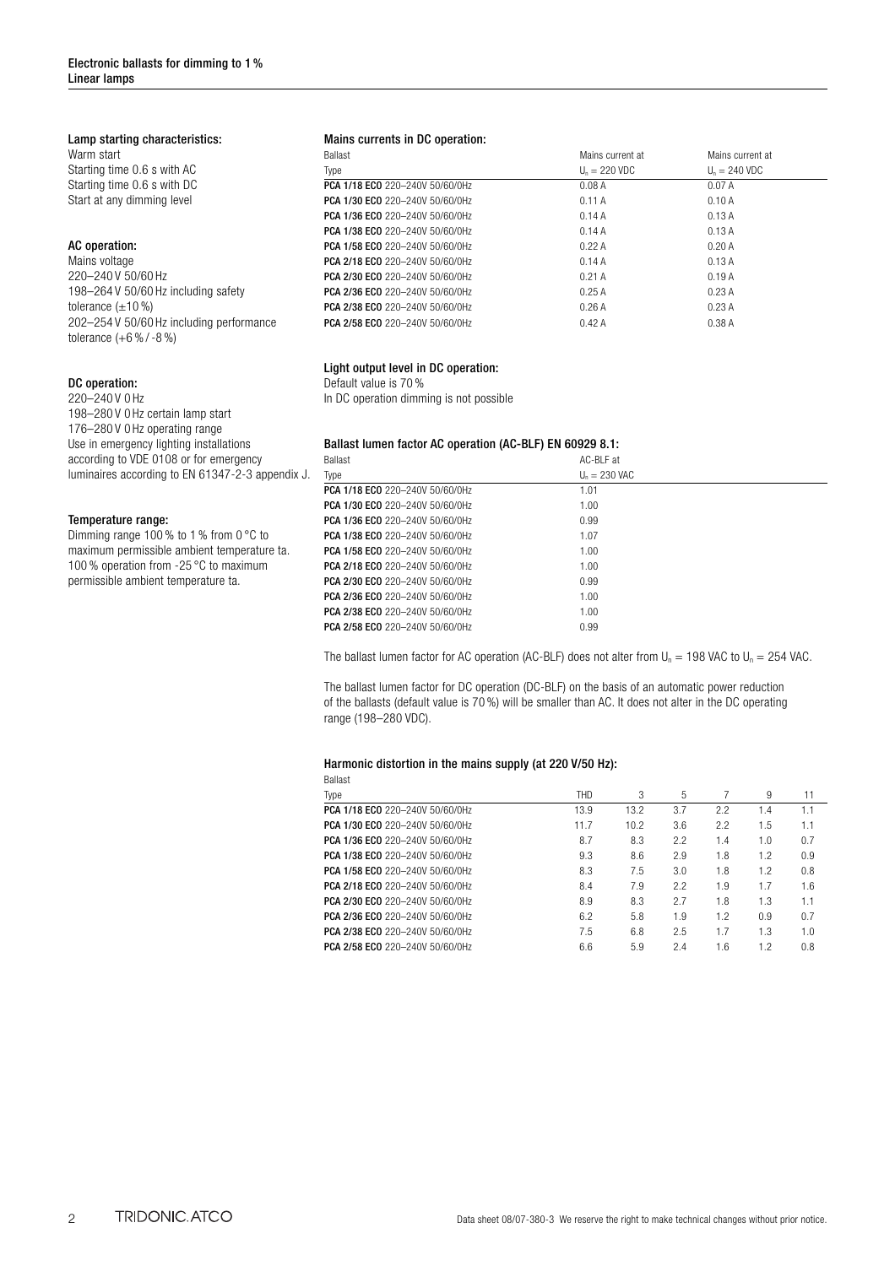### Lamp starting characteristics:

Warm start Starting time 0.6 s with AC Starting time 0.6 s with DC Start at any dimming level

# AC operation:

Mains voltage 220–240 V 50/60 Hz 198–264 V 50/60 Hz including safety tolerance  $(\pm 10\%)$ 202–254 V 50/60 Hz including performance tolerance (+6 % / -8 %)

#### DC operation:

220–240 V 0 Hz 198–280 V 0 Hz certain lamp start 176–280 V 0 Hz operating range Use in emergency lighting installations according to VDE 0108 or for emergency luminaires according to EN 61347-2-3 appendix J.

#### Temperature range:

Dimming range 100% to 1% from 0 °C to maximum permissible ambient temperature ta. 100 % operation from -25 °C to maximum permissible ambient temperature ta.

#### Mains currents in DC operation:

| <b>Ballast</b>                  | Mains current at        | Mains current at |
|---------------------------------|-------------------------|------------------|
| Type                            | $U_n = 220 \text{ VDC}$ | $Un = 240 VDC$   |
| PCA 1/18 ECO 220-240V 50/60/0Hz | 0.08A                   | 0.07A            |
| PCA 1/30 ECO 220-240V 50/60/0Hz | 0.11A                   | 0.10A            |
| PCA 1/36 ECO 220-240V 50/60/0Hz | 0.14A                   | 0.13A            |
| PCA 1/38 ECO 220-240V 50/60/0Hz | 0.14A                   | 0.13A            |
| PCA 1/58 ECO 220-240V 50/60/0Hz | 0.22A                   | 0.20A            |
| PCA 2/18 ECO 220-240V 50/60/0Hz | 0.14A                   | 0.13A            |
| PCA 2/30 ECO 220-240V 50/60/0Hz | 0.21A                   | 0.19A            |
| PCA 2/36 ECO 220-240V 50/60/0Hz | 0.25A                   | 0.23A            |
| PCA 2/38 ECO 220-240V 50/60/0Hz | 0.26A                   | 0.23A            |
| PCA 2/58 ECO 220-240V 50/60/0Hz | 0.42A                   | 0.38A            |

# Light output level in DC operation:

Default value is 70 % In DC operation dimming is not possible

# Ballast lumen factor AC operation (AC-BLF) EN 60929 8.1:

| <b>Ballast</b>                  | AC-BIF at       |
|---------------------------------|-----------------|
| Type                            | $U_n = 230$ VAC |
| PCA 1/18 ECO 220-240V 50/60/0Hz | 1.01            |
| PCA 1/30 ECO 220-240V 50/60/0Hz | 1.00            |
| PCA 1/36 ECO 220-240V 50/60/0Hz | 0.99            |
| PCA 1/38 ECO 220-240V 50/60/0Hz | 1.07            |
| PCA 1/58 ECO 220-240V 50/60/0Hz | 1.00            |
| PCA 2/18 ECO 220-240V 50/60/0Hz | 1.00            |
| PCA 2/30 ECO 220-240V 50/60/0Hz | 0.99            |
| PCA 2/36 ECO 220-240V 50/60/0Hz | 1.00            |
| PCA 2/38 ECO 220-240V 50/60/0Hz | 1.00            |
| PCA 2/58 ECO 220-240V 50/60/0Hz | 0.99            |
|                                 |                 |

The ballast lumen factor for AC operation (AC-BLF) does not alter from  $U_n = 198$  VAC to  $U_n = 254$  VAC.

The ballast lumen factor for DC operation (DC-BLF) on the basis of an automatic power reduction of the ballasts (default value is 70 %) will be smaller than AC. It does not alter in the DC operating range (198–280 VDC).

#### Harmonic distortion in the mains supply (at 220 V/50 Hz):

| <b>THD</b> | 3    | 5   |     | 9   | 11  |
|------------|------|-----|-----|-----|-----|
| 13.9       | 13.2 | 3.7 | 2.2 | 1.4 | 1.1 |
| 11.7       | 10.2 | 3.6 | 2.2 | 1.5 | 1.1 |
| 8.7        | 8.3  | 2.2 | 1.4 | 1.0 | 0.7 |
| 9.3        | 8.6  | 2.9 | 1.8 | 1.2 | 0.9 |
| 8.3        | 7.5  | 3.0 | 1.8 | 1.2 | 0.8 |
| 8.4        | 7.9  | 2.2 | 1.9 | 1.7 | 1.6 |
| 8.9        | 8.3  | 2.7 | 1.8 | 1.3 | 1.1 |
| 6.2        | 5.8  | 1.9 | 1.2 | 0.9 | 0.7 |
| 7.5        | 6.8  | 2.5 | 1.7 | 1.3 | 1.0 |
| 6.6        | 5.9  | 2.4 | 1.6 | 1.2 | 0.8 |
|            |      |     |     |     |     |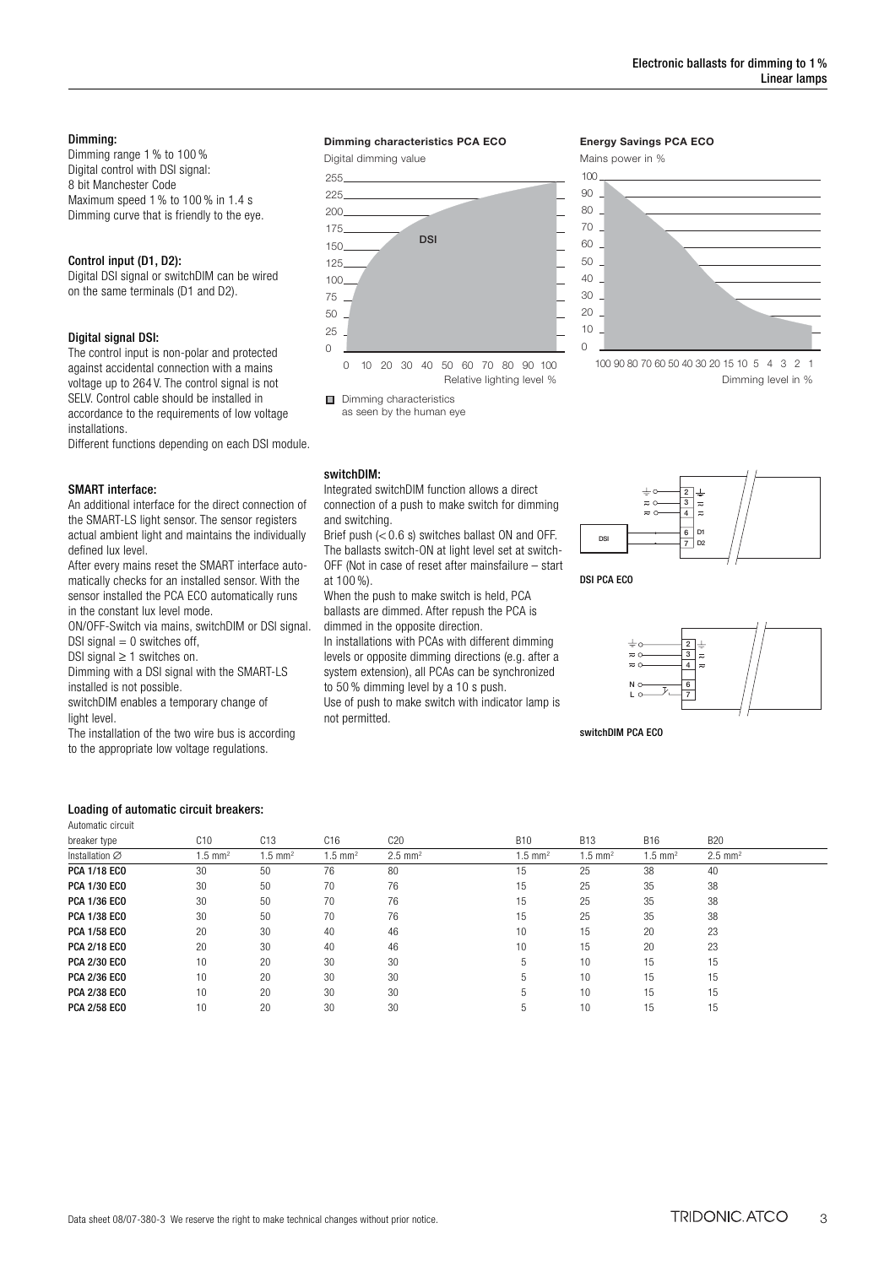#### Dimming:

Dimming range 1 % to 100 % Digital control with DSI signal: 8 bit Manchester Code Maximum speed 1 % to 100 % in 1.4 s Dimming curve that is friendly to the eye.

#### Control input (D1, D2):

Digital DSI signal or switchDIM can be wired on the same terminals (D1 and D2).

#### Digital signal DSI:

The control input is non-polar and protected against accidental connection with a mains voltage up to 264 V. The control signal is not SELV. Control cable should be installed in accordance to the requirements of low voltage installations.

Different functions depending on each DSI module.

#### SMART interface:

An additional interface for the direct connection of the SMART-LS light sensor. The sensor registers actual ambient light and maintains the individually defined lux level.

After every mains reset the SMART interface automatically checks for an installed sensor. With the sensor installed the PCA ECO automatically runs in the constant lux level mode.

ON/OFF-Switch via mains, switchDIM or DSI signal. DSI signal  $= 0$  switches off,

DSI signal  $\geq$  1 switches on.

Dimming with a DSI signal with the SMART-LS installed is not possible.

switchDIM enables a temporary change of light level.

The installation of the two wire bus is according

to the appropriate low voltage regulations.

#### **Dimming characteristics PCA ECO**

Digital dimming value



Dimming characteristics as seen by the human eye

# switchDIM:

Integrated switchDIM function allows a direct connection of a push to make switch for dimming and switching.

Brief push (< 0.6 s) switches ballast ON and OFF. The ballasts switch-ON at light level set at switch-OFF (Not in case of reset after mainsfailure – start at 100 %).

When the push to make switch is held, PCA ballasts are dimmed. After repush the PCA is dimmed in the opposite direction.

In installations with PCAs with different dimming

levels or opposite dimming directions (e.g. after a system extension), all PCAs can be synchronized to 50 % dimming level by a 10 s push.

Use of push to make switch with indicator lamp is not permitted.

#### **Energy Savings PCA ECO**

Mains power in %



Dimming level in %



DSI PCA ECO



switchDIM PCA ECO

# Loading of automatic circuit breakers:

|  | Automatic circuit |
|--|-------------------|
|  |                   |

| breaker type        | C10                   | C13                  | C16                | C20                   | <b>B10</b>            | <b>B13</b>         | <b>B16</b>            | <b>B20</b>            |
|---------------------|-----------------------|----------------------|--------------------|-----------------------|-----------------------|--------------------|-----------------------|-----------------------|
| Installation Ø      | $1.5$ mm <sup>2</sup> | $1.5 \, \text{mm}^2$ | $1.5 \text{ mm}^2$ | $2.5$ mm <sup>2</sup> | $1.5$ mm <sup>2</sup> | $1.5 \text{ mm}^2$ | $1.5$ mm <sup>2</sup> | $2.5$ mm <sup>2</sup> |
| <b>PCA 1/18 ECO</b> | 30                    | 50                   | 76                 | 80                    | 15                    | 25                 | 38                    | 40                    |
| <b>PCA 1/30 ECO</b> | 30                    | 50                   | 70                 | 76                    | 15                    | 25                 | 35                    | 38                    |
| <b>PCA 1/36 ECO</b> | 30                    | 50                   | 70                 | 76                    | 15                    | 25                 | 35                    | 38                    |
| <b>PCA 1/38 ECO</b> | 30                    | 50                   | 70                 | 76                    | 15                    | 25                 | 35                    | 38                    |
| <b>PCA 1/58 ECO</b> | 20                    | 30                   | 40                 | 46                    | 10                    | 15                 | 20                    | 23                    |
| <b>PCA 2/18 ECO</b> | 20                    | 30                   | 40                 | 46                    | 10                    | 15                 | 20                    | 23                    |
| <b>PCA 2/30 ECO</b> | 10                    | 20                   | 30                 | 30                    | h                     | 10                 | 15                    | 15                    |
| <b>PCA 2/36 ECO</b> | 10                    | 20                   | 30                 | 30                    |                       | 10                 | 15                    | 15                    |
| <b>PCA 2/38 ECO</b> | 10                    | 20                   | 30                 | 30                    |                       | 10                 | 15                    | 15                    |
| <b>PCA 2/58 ECO</b> | 10                    | 20                   | 30                 | 30                    |                       | 10                 | 15                    | 15                    |